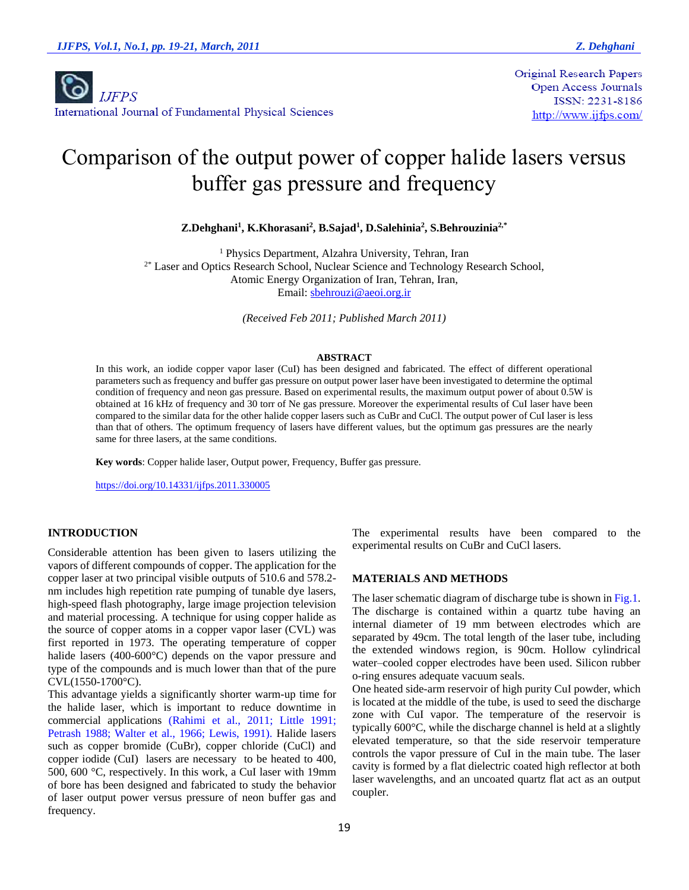**Original Research Papers Open Access Journals** ISSN: 2231-8186 http://www.ijfps.com/

# Comparison of the output power of copper halide lasers versus buffer gas pressure and frequency

**Z.Dehghani<sup>1</sup> , K.Khorasani<sup>2</sup> , B.Sajad<sup>1</sup> , D.Salehinia<sup>2</sup> , S.Behrouzinia2,\***

<sup>1</sup> Physics Department, Alzahra University, Tehran, Iran <sup>2\*</sup> Laser and Optics Research School, Nuclear Science and Technology Research School, Atomic Energy Organization of Iran, Tehran, Iran, Email: [sbehrouzi@aeoi.org.ir](mailto:sbehrouzi@aeoi.org.ir)

*(Received Feb 2011; Published March 2011)*

#### **ABSTRACT**

In this work, an iodide copper vapor laser (CuI) has been designed and fabricated. The effect of different operational parameters such as frequency and buffer gas pressure on output power laser have been investigated to determine the optimal condition of frequency and neon gas pressure. Based on experimental results, the maximum output power of about 0.5W is obtained at 16 kHz of frequency and 30 torr of Ne gas pressure. Moreover the experimental results of CuI laser have been compared to the similar data for the other halide copper lasers such as CuBr and CuCl. The output power of CuI laser is less than that of others. The optimum frequency of lasers have different values, but the optimum gas pressures are the nearly same for three lasers, at the same conditions.

**Key words**: Copper halide laser, Output power, Frequency, Buffer gas pressure.

<https://doi.org/10.14331/ijfps.2011.330005>

# **INTRODUCTION**

Considerable attention has been given to lasers utilizing the vapors of different compounds of copper. The application for the copper laser at two principal visible outputs of 510.6 and 578.2 nm includes high repetition rate pumping of tunable dye lasers, high-speed flash photography, large image projection television and material processing. A technique for using copper halide as the source of copper atoms in a copper vapor laser (CVL) was first reported in 1973. The operating temperature of copper halide lasers (400-600°C) depends on the vapor pressure and type of the compounds and is much lower than that of the pure CVL(1550-1700°C).

This advantage yields a significantly shorter warm-up time for the halide laser, which is important to reduce downtime in commercial applications (Rahimi et al., 2011; Little 1991; Petrash 1988; Walter et al., 1966; Lewis, 1991). Halide lasers such as copper bromide (CuBr), copper chloride (CuCl) and copper iodide (CuI) lasers are necessary to be heated to 400, 500, 600 °C, respectively. In this work, a CuI laser with 19mm of bore has been designed and fabricated to study the behavior of laser output power versus pressure of neon buffer gas and frequency.

The experimental results have been compared to the experimental results on CuBr and CuCl lasers.

### **MATERIALS AND METHODS**

The laser schematic diagram of discharge tube is shown in Fig.1. The discharge is contained within a quartz tube having an internal diameter of 19 mm between electrodes which are separated by 49cm. The total length of the laser tube, including the extended windows region, is 90cm. Hollow cylindrical water–cooled copper electrodes have been used. Silicon rubber o-ring ensures adequate vacuum seals.

One heated side-arm reservoir of high purity CuI powder, which is located at the middle of the tube, is used to seed the discharge zone with CuI vapor. The temperature of the reservoir is typically 600°C, while the discharge channel is held at a slightly elevated temperature, so that the side reservoir temperature controls the vapor pressure of CuI in the main tube. The laser cavity is formed by a flat dielectric coated high reflector at both laser wavelengths, and an uncoated quartz flat act as an output coupler.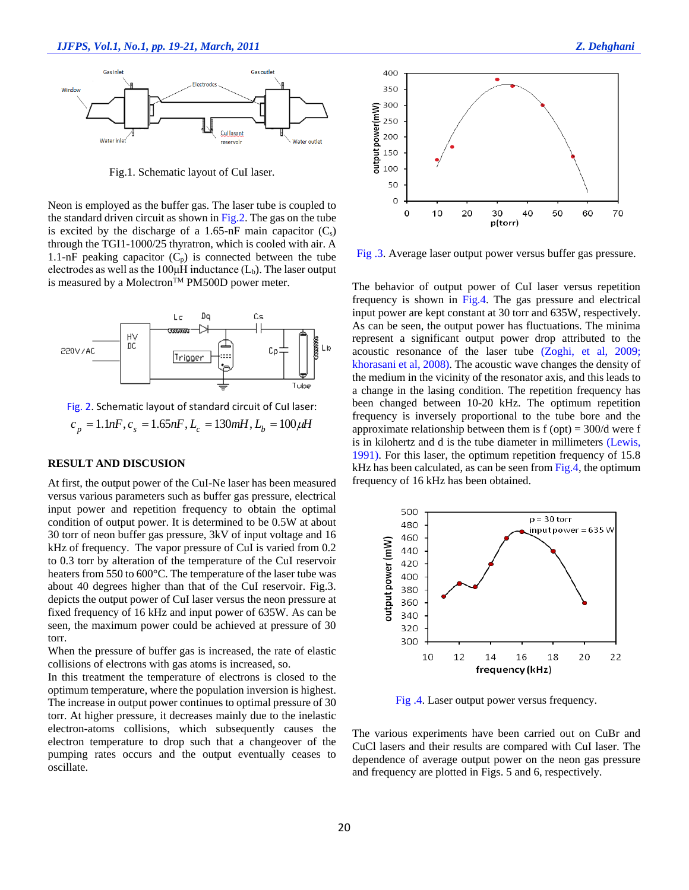

Fig.1. Schematic layout of CuI laser.

Neon is employed as the buffer gas. The laser tube is coupled to the standard driven circuit as shown in Fig.2. The gas on the tube is excited by the discharge of a 1.65-nF main capacitor  $(C_s)$ through the TGI1-1000/25 thyratron, which is cooled with air. A 1.1-nF peaking capacitor  $(C_p)$  is connected between the tube electrodes as well as the 100 $\mu$ H inductance ( $L_b$ ). The laser output is measured by a Molectron<sup>TM</sup> PM500D power meter.



Fig. 2. Schematic layout of standard circuit of CuI laser:  $c_p = 1.1$ *nF*,  $c_s = 1.65$ *nF*,  $L_c = 130$ *mH*,  $L_b = 100$ *µH* 

# **RESULT AND DISCUSION**

At first, the output power of the CuI-Ne laser has been measured versus various parameters such as buffer gas pressure, electrical input power and repetition frequency to obtain the optimal condition of output power. It is determined to be 0.5W at about 30 torr of neon buffer gas pressure, 3kV of input voltage and 16 kHz of frequency. The vapor pressure of CuI is varied from 0.2 to 0.3 torr by alteration of the temperature of the CuI reservoir heaters from 550 to 600°C. The temperature of the laser tube was about 40 degrees higher than that of the CuI reservoir. Fig.3. depicts the output power of CuI laser versus the neon pressure at fixed frequency of 16 kHz and input power of 635W. As can be seen, the maximum power could be achieved at pressure of 30 torr.

When the pressure of buffer gas is increased, the rate of elastic collisions of electrons with gas atoms is increased, so.

In this treatment the temperature of electrons is closed to the optimum temperature, where the population inversion is highest. The increase in output power continues to optimal pressure of 30 torr. At higher pressure, it decreases mainly due to the inelastic electron-atoms collisions, which subsequently causes the electron temperature to drop such that a changeover of the pumping rates occurs and the output eventually ceases to oscillate.



Fig .3. Average laser output power versus buffer gas pressure.

The behavior of output power of CuI laser versus repetition frequency is shown in Fig.4. The gas pressure and electrical input power are kept constant at 30 torr and 635W, respectively. As can be seen, the output power has fluctuations. The minima represent a significant output power drop attributed to the acoustic resonance of the laser tube (Zoghi, et al, 2009; khorasani et al, 2008). The acoustic wave changes the density of the medium in the vicinity of the resonator axis, and this leads to a change in the lasing condition. The repetition frequency has been changed between 10-20 kHz. The optimum repetition frequency is inversely proportional to the tube bore and the approximate relationship between them is  $f (opt) = 300/d$  were  $f$ is in kilohertz and d is the tube diameter in millimeters (Lewis, 1991). For this laser, the optimum repetition frequency of 15.8 kHz has been calculated, as can be seen from Fig.4, the optimum frequency of 16 kHz has been obtained.



Fig .4. Laser output power versus frequency.

The various experiments have been carried out on CuBr and CuCl lasers and their results are compared with CuI laser. The dependence of average output power on the neon gas pressure and frequency are plotted in Figs. 5 and 6, respectively.